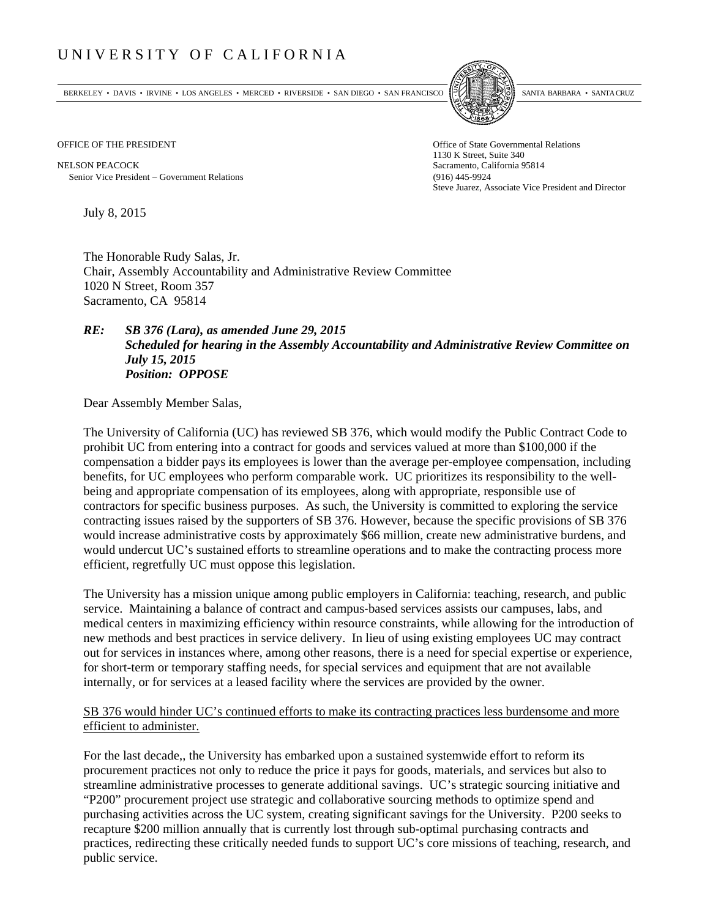## UNIVERSITY OF CALIFORNIA

BERKELEY • DAVIS • IRVINE • LOS ANGELES • MERCED • RIVERSIDE • SAN DIEGO • SAN FRANCISCO SANTA BARBARA • SANTA CRUZ



1130 K Street, Suite 340 Steve Juarez, Associate Vice President and Director

OFFICE OF THE PRESIDENT STATES OF THE PRESIDENT

NELSON PEACOCK Sacramento, California 95814 Senior Vice President Government Relations (916) 445-9924

July 8, 2015

The Honorable Rudy Salas, Jr. Chair, Assembly Accountability and Administrative Review Committee 1020 N Street, Room 357 Sacramento, CA 95814

## *RE: SB 376 (Lara), as amended June 29, 2015 Scheduled for hearing in the Assembly Accountability and Administrative Review Committee on July 15, 2015 Position: OPPOSE*

Dear Assembly Member Salas,

The University of California (UC) has reviewed SB 376, which would modify the Public Contract Code to prohibit UC from entering into a contract for goods and services valued at more than \$100,000 if the compensation a bidder pays its employees is lower than the average per-employee compensation, including benefits, for UC employees who perform comparable work. UC prioritizes its responsibility to the wellbeing and appropriate compensation of its employees, along with appropriate, responsible use of contractors for specific business purposes. As such, the University is committed to exploring the service contracting issues raised by the supporters of SB 376. However, because the specific provisions of SB 376 would increase administrative costs by approximately \$66 million, create new administrative burdens, and would undercut UC's sustained efforts to streamline operations and to make the contracting process more efficient, regretfully UC must oppose this legislation.

The University has a mission unique among public employers in California: teaching, research, and public service. Maintaining a balance of contract and campus-based services assists our campuses, labs, and medical centers in maximizing efficiency within resource constraints, while allowing for the introduction of new methods and best practices in service delivery. In lieu of using existing employees UC may contract out for services in instances where, among other reasons, there is a need for special expertise or experience, for short-term or temporary staffing needs, for special services and equipment that are not available internally, or for services at a leased facility where the services are provided by the owner.

## SB 376 would hinder UC's continued efforts to make its contracting practices less burdensome and more efficient to administer.

For the last decade,, the University has embarked upon a sustained systemwide effort to reform its procurement practices not only to reduce the price it pays for goods, materials, and services but also to streamline administrative processes to generate additional savings. UC's strategic sourcing initiative and "P200" procurement project use strategic and collaborative sourcing methods to optimize spend and purchasing activities across the UC system, creating significant savings for the University. P200 seeks to recapture \$200 million annually that is currently lost through sub-optimal purchasing contracts and practices, redirecting these critically needed funds to support UC's core missions of teaching, research, and public service.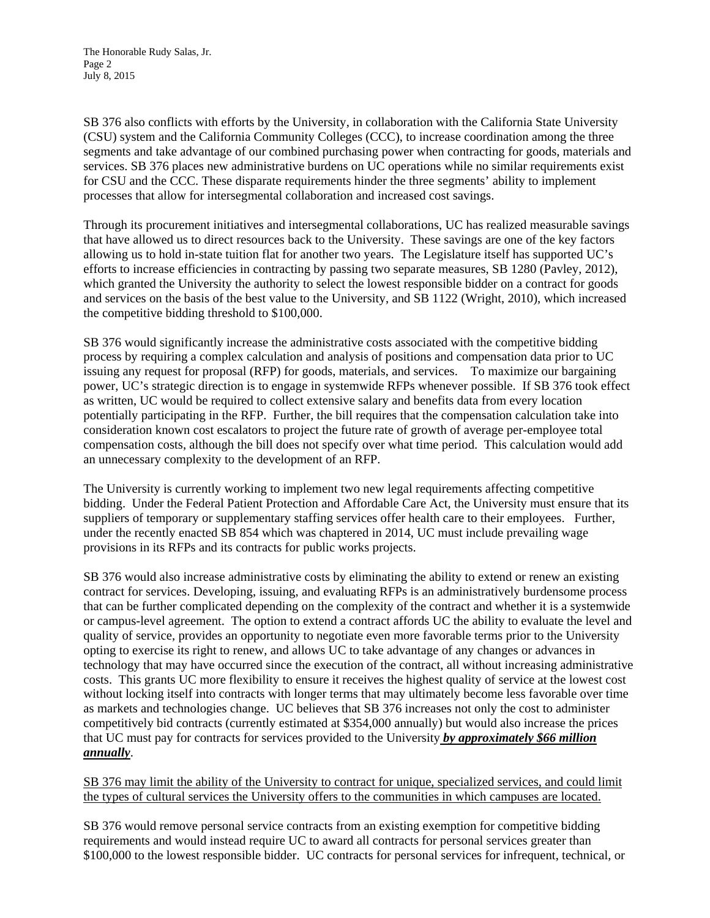The Honorable Rudy Salas, Jr. Page 2 July 8, 2015

SB 376 also conflicts with efforts by the University, in collaboration with the California State University (CSU) system and the California Community Colleges (CCC), to increase coordination among the three segments and take advantage of our combined purchasing power when contracting for goods, materials and services. SB 376 places new administrative burdens on UC operations while no similar requirements exist for CSU and the CCC. These disparate requirements hinder the three segments' ability to implement processes that allow for intersegmental collaboration and increased cost savings.

Through its procurement initiatives and intersegmental collaborations, UC has realized measurable savings that have allowed us to direct resources back to the University. These savings are one of the key factors allowing us to hold in-state tuition flat for another two years. The Legislature itself has supported UC's efforts to increase efficiencies in contracting by passing two separate measures, SB 1280 (Pavley, 2012), which granted the University the authority to select the lowest responsible bidder on a contract for goods and services on the basis of the best value to the University, and SB 1122 (Wright, 2010), which increased the competitive bidding threshold to \$100,000.

SB 376 would significantly increase the administrative costs associated with the competitive bidding process by requiring a complex calculation and analysis of positions and compensation data prior to UC issuing any request for proposal (RFP) for goods, materials, and services. To maximize our bargaining power, UC's strategic direction is to engage in systemwide RFPs whenever possible. If SB 376 took effect as written, UC would be required to collect extensive salary and benefits data from every location potentially participating in the RFP. Further, the bill requires that the compensation calculation take into consideration known cost escalators to project the future rate of growth of average per-employee total compensation costs, although the bill does not specify over what time period. This calculation would add an unnecessary complexity to the development of an RFP.

The University is currently working to implement two new legal requirements affecting competitive bidding. Under the Federal Patient Protection and Affordable Care Act, the University must ensure that its suppliers of temporary or supplementary staffing services offer health care to their employees. Further, under the recently enacted SB 854 which was chaptered in 2014, UC must include prevailing wage provisions in its RFPs and its contracts for public works projects.

SB 376 would also increase administrative costs by eliminating the ability to extend or renew an existing contract for services. Developing, issuing, and evaluating RFPs is an administratively burdensome process that can be further complicated depending on the complexity of the contract and whether it is a systemwide or campus-level agreement. The option to extend a contract affords UC the ability to evaluate the level and quality of service, provides an opportunity to negotiate even more favorable terms prior to the University opting to exercise its right to renew, and allows UC to take advantage of any changes or advances in technology that may have occurred since the execution of the contract, all without increasing administrative costs. This grants UC more flexibility to ensure it receives the highest quality of service at the lowest cost without locking itself into contracts with longer terms that may ultimately become less favorable over time as markets and technologies change. UC believes that SB 376 increases not only the cost to administer competitively bid contracts (currently estimated at \$354,000 annually) but would also increase the prices that UC must pay for contracts for services provided to the University *by approximately \$66 million annually*.

SB 376 may limit the ability of the University to contract for unique, specialized services, and could limit the types of cultural services the University offers to the communities in which campuses are located.

SB 376 would remove personal service contracts from an existing exemption for competitive bidding requirements and would instead require UC to award all contracts for personal services greater than \$100,000 to the lowest responsible bidder. UC contracts for personal services for infrequent, technical, or